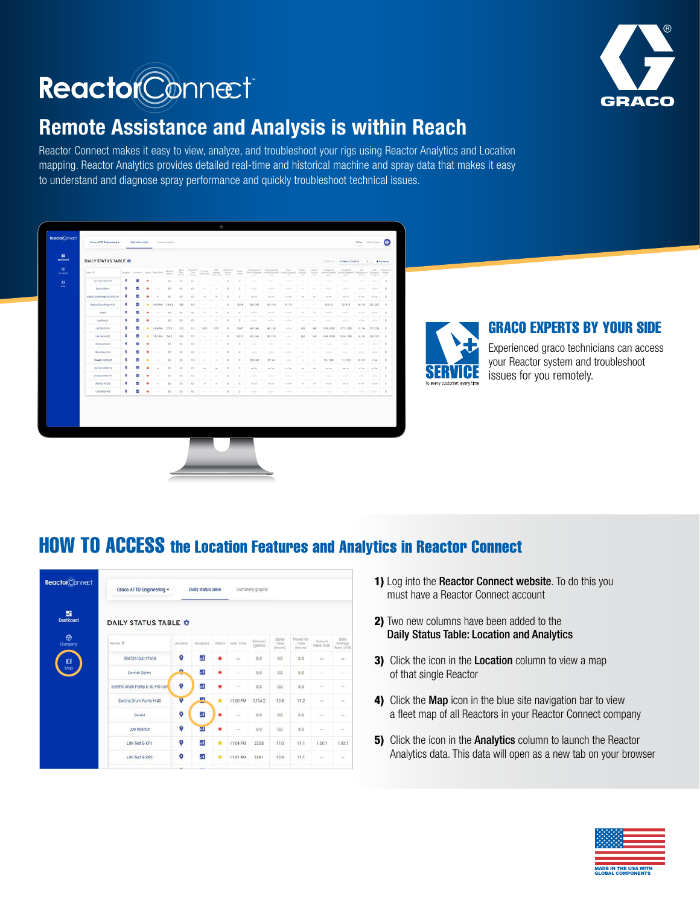

# ReactorConnect

# Remote Assistance and Analysis is within Reach

Reactor Connect makes it easy to view, analyze, and troubleshoot your rigs using Reactor Analytics and Location mapping. Reactor Analytics provides detailed real-time and historical machine and spray data that makes it easy to understand and diagnose spray performance and quickly troubleshoot technical issues.

| 推<br><b>Englisherd</b>       |                               |   |   |   |                                        |                                         |          |                |                                                                                                                     |                          |                                        |                              |                                                                       |                                                                                 |                  |             |                                          |                                                                                 |                                                                                                              |                                              |                                         |                                |
|------------------------------|-------------------------------|---|---|---|----------------------------------------|-----------------------------------------|----------|----------------|---------------------------------------------------------------------------------------------------------------------|--------------------------|----------------------------------------|------------------------------|-----------------------------------------------------------------------|---------------------------------------------------------------------------------|------------------|-------------|------------------------------------------|---------------------------------------------------------------------------------|--------------------------------------------------------------------------------------------------------------|----------------------------------------------|-----------------------------------------|--------------------------------|
|                              | DAILY STATUS TABLE O          |   |   |   |                                        |                                         |          |                |                                                                                                                     |                          |                                        |                              |                                                                       |                                                                                 |                  |             |                                          |                                                                                 | Chevrolet Line At Reacher Gustaves                                                                           |                                              | $-41.1$                                 | <b>B</b> San Report            |
| $\bullet$<br><b>Delivery</b> | State of                      |   |   |   | Insales   summer   Bishar   Bart Tires | $\frac{32\Delta\Delta\tau}{\Delta\tau}$ | 显        |                | $\frac{\hbar m_{\rm eff}}{\hbar m_{\rm eff}}$ , where $\frac{\hbar m_{\rm eff}}{\hbar m_{\rm eff}^2 m_{\rm eff}^2}$ |                          | <b>Bandaro Li</b><br>April 1<br>Age of | <b>Tark</b><br><b>County</b> | Termentant A<br>Benefit Electronical programme standard and<br>$\sim$ | Tomostery &<br>196                                                              | Point-<br>$\sim$ | mer.A.<br>н | None di<br><b>Single State</b><br>$\sim$ | Printer &<br><b>June Married Collect States</b><br>$^{+}$                       | <b>Roman E</b><br>mar.                                                                                       | tions.<br><b>CONTRACTOR</b><br>439.75-       | <b>Sept.</b><br><b>Printed</b><br>Angel | Ranker of<br><b>Dirty</b><br>× |
| $\mathbf{u}$                 | <b>WATCHTAKE ETGAN</b>        | ø |   |   |                                        | 0.01                                    | 3.8      | 45             | ۰                                                                                                                   |                          | ٠                                      | $\rightarrow$                | $-1 -$                                                                | $-1-$                                                                           | $-1 -$           | -           |                                          | $\frac{1}{2} \left( \frac{1}{2} \right) \frac{1}{2} \left( \frac{1}{2} \right)$ | $-1$                                                                                                         | $-1-$                                        | $-1 -$                                  | $\sim$                         |
| w                            | <b>Bancriben</b>              | o |   |   |                                        | $+$                                     | $\cdots$ | 4.6            | $\sim$                                                                                                              |                          | ×                                      |                              | $-1 -$                                                                | $-5+$                                                                           | surface.         |             |                                          | $-1-$                                                                           | $-1 -$                                                                                                       | Selection                                    | $-3 -$                                  | $\mathbb{R}$                   |
|                              | Delhir Stun Pung & 33 Pm Cars | o |   |   | $\sim$                                 | 45                                      | 42       | $\overline{a}$ | $\sim$                                                                                                              | $\sim$                   | ٠                                      | $\mathbb{R}$                 | $m \geq m$                                                            | in her                                                                          | $-10$            | $\sim$      | $\sim$                                   | $-1$                                                                            | $m \geq m$                                                                                                   | in into                                      | $160.2$ m/s.                            | $\overline{u}$                 |
|                              | Electro Dunh Pyrry 4-AL       | ۰ |   | ۰ | <b>64 00 PM</b>                        | 1354.2                                  | 14.6     | <b>T12</b>     |                                                                                                                     |                          | ٠                                      | 10314                        | 1087140                                                               | 100,1540                                                                        | 图门               |             |                                          | 4142.10                                                                         | 3214.79                                                                                                      | 49.795                                       | 27/25                                   | $\sim$                         |
|                              | General                       | ø |   |   | ×                                      | 14                                      | 35       | 64             | $\sim$                                                                                                              | ÷                        | ×                                      | $\rightarrow$                | m, l, m                                                               | $=1+$                                                                           | $=$ ( $=$        | ÷           | $\sim$                                   | $-1$                                                                            | m/n                                                                                                          | <b>Higher</b>                                | $ m $ in                                | $\approx$                      |
|                              | <b>Joe Renche</b>             | ۰ |   |   |                                        | 15                                      | 33.7     | 68             |                                                                                                                     |                          | ٠                                      | $\mathcal{L}$                | $-1 -$                                                                | $\frac{1}{2} \left( \frac{1}{2} \right) \frac{1}{2} \left( \frac{1}{2} \right)$ | $-1$             |             |                                          | $-1$                                                                            | $-1-$                                                                                                        | $-1 -$                                       | $-1$                                    | $\sim$                         |
|                              | 170 Year Early                | ۰ |   | ۰ | mistu min                              |                                         | m.tr     | TET.           | 1.00.3                                                                                                              | 1.89.1                   | ٠                                      | Tist?                        | <b>SELTAR</b>                                                         | <b>SELTAR</b>                                                                   | $-1$             | m           | 140                                      | 120311220                                                                       | KITL/1200                                                                                                    | 10.154 :                                     | 251/236                                 |                                |
|                              | Lite Sect ExP2                | ۰ |   |   | TECLAM.                                | 348.1                                   | 14.9     | 718            | ÷                                                                                                                   |                          | ×                                      | 2012                         | 1417140                                                               | 1407340                                                                         | <b>Waller</b>    | 142         | tel                                      | 144973300                                                                       | 145411300                                                                                                    | 96.796                                       | 306, 373                                | ٠                              |
|                              | <b>Rills in Boots</b>         | ۰ |   | ٠ | ÷                                      | 15                                      | 14.6     | 68             | ÷                                                                                                                   |                          | ٠                                      |                              | $-1 -$                                                                | $ n  =$                                                                         | $-1$             | $\sim$      |                                          | - Jun                                                                           | $-1 -$                                                                                                       | Julie.                                       | $-1$                                    | $\mathbbm{R}$                  |
|                              | <b>Blockway</b> Tast          | ۰ |   | ٠ |                                        | 12                                      | 11       | <b>CE</b>      | ۰                                                                                                                   |                          | ٠                                      |                              | $-11$                                                                 | $-10$                                                                           | $-1$             | ٠           |                                          | and an                                                                          | $\frac{1}{2} \left( \frac{1}{2} \right) \left( \frac{1}{2} \right) = \frac{1}{2} \left( \frac{1}{2} \right)$ | V-Fm                                         | $100 - 100$                             | $\sim$                         |
|                              | <b>Disagrivations</b>         | ۰ |   |   |                                        | $11$                                    | $-0.0$   | 11.5           | $\sim$                                                                                                              |                          | $\sim$                                 | $\mathbb{R}$                 | 900 / 100                                                             | 10/66                                                                           | $= 0.4$          | $\sim$      | $\sim$                                   | 93/1938                                                                         | 71/4113                                                                                                      | 177.68                                       | 2/4                                     | $\pm$                          |
|                              | <b>ENGLISHERS</b>             | ø |   |   | $\sim$                                 | 12                                      | 18       | $\epsilon$     | $\sim$                                                                                                              | $\overline{\phantom{a}}$ | $\mathbb{R}$                           | $\rightarrow$                | $-1$                                                                  | and Color                                                                       | and for          | $\sim$      | $\sim$                                   | <b>Controller</b>                                                               | ment and                                                                                                     | $\langle \alpha \rangle \in \mathcal{C}$ and | $-40$                                   | $\sim$                         |
|                              | ASSESSMENT                    | ø |   |   |                                        | 15                                      | 12       | 88             | -                                                                                                                   | $\sim$                   | ٠                                      | $\mathbf{r}$                 | $-1/4$                                                                | $mI$ or $2$                                                                     | <b>Hallan</b>    | ÷           | $\sim$                                   | $\frac{1}{2} \left( \frac{1}{2} \right) \left( \frac{1}{2} \right)$             | $\frac{1}{2} \left( \frac{1}{2} \right) \left( \frac{1}{2} \right)$                                          | <b>William</b>                               | <b>SAN</b>                              | ٠                              |
|                              | SPANCIA KENDER                | ۰ |   | ٠ | $\sim$                                 | 11                                      | 34       | $-1$           | $\sim$                                                                                                              | $\sim$                   | $\mathbbm{E}$                          | $\rightarrow$                | $m$ / $m$                                                             | m/m                                                                             | in For-          |             | $\sim$                                   | $m$ $\rightarrow$                                                               | $-11$                                                                                                        | to the                                       | and an                                  | ×                              |
|                              | SERVINGA NO                   | ۰ | ш | ٠ |                                        | 100                                     | 16       | 68.7           | $\sim$                                                                                                              | 12                       | $\sim$                                 | <b>BOOT</b>                  | -application                                                          | $-1 -$                                                                          | $-1 -$           | ÷           | ٠                                        | -dar                                                                            | $-1 -$                                                                                                       | School School                                | $-1.1 - 1.1$                            | $\mathcal{L}$                  |



### GRACO EXPERTS BY YOUR SIDE

Experienced graco technicians can access your Reactor system and troubleshoot issues for you remotely.

## HOW TO ACCESS the Location Features and Analytics in Reactor Connect

| <b>ReactorConnect</b> | Graco AFTD Engineering ~        |           | Daily status table |               |             | Summary graphs       |                          |                             |                        |                                  |
|-----------------------|---------------------------------|-----------|--------------------|---------------|-------------|----------------------|--------------------------|-----------------------------|------------------------|----------------------------------|
| 鹽<br>Dashboard        | <b>DAILY STATUS TABLE &amp;</b> |           |                    |               |             |                      |                          |                             |                        |                                  |
| $\oplus$<br>Company   | Name 4                          | Location  | <b>Justytics</b>   | <b>Status</b> | Shart Times | Material<br>(galloo) | Spray<br>Time<br>(hours) | Pawer On<br>Time<br>(hours) | Current<br>Ratio (A:B) | Daily.<br>Average<br>Ratio (A:9) |
| $\prod_{\text{Map}}$  | 356726104217609                 | $\bullet$ | a.                 | ٠             | <b>SHE</b>  | 0.0                  | 0.0                      | 0.0                         | $\cdots$               | m                                |
|                       | Darrick Demo                    | $\bullet$ | п.                 | ٠             | $\sim$      | 0.0                  | 0.0                      | 0.0                         | $\sim$                 | $-1$                             |
|                       | Electric Drum Pump E-30 Pro Con | o         | a.                 | ٠             | $\sim$      | 0.0                  | 0.0                      | 0.0                         | $\sim$                 | $\sim$                           |
|                       | Electric Drum Pump H-40         | v         | <b>Call</b>        | ۰             | 11:00 PM    | 1,1542               | 10.8                     | 112                         | $\sim$                 | $\sim$                           |
|                       | Gerald                          | $\bullet$ | кÌ,                | ٠             | $\sim$      | 0.0                  | 0.0                      | 0.0                         | $\omega\omega$         | ies'                             |
|                       | Joe Reactor                     | $\circ$   | 画                  | ۰             | <b>Sec.</b> | 0.0                  | 0.0                      | 0.0                         | $\sim$                 | $\sim$                           |
|                       | Life Test E-XP1                 | ø         | $\mathbf{d}$       | ٠             | 11:04 PM    | 233.8                | 11.0                     | 11.1                        | 1.00:1                 | 1.00:1                           |
|                       | Life Test E-XP2                 | o         | a                  | ٠             | 11:01 PM    | 548.1                | 10.9                     | 11.1                        | in.                    | $\sim$                           |

- 1) Log into the Reactor Connect website. To do this you must have a Reactor Connect account
- 2) Two new columns have been added to the Daily Status Table: Location and Analytics
- 3) Click the icon in the Location column to view a map of that single Reactor
- 4) Click the Map icon in the blue site navigation bar to view a fleet map of all Reactors in your Reactor Connect company
- 5) Click the icon in the Analytics column to launch the Reactor Analytics data. This data will open as a new tab on your browser

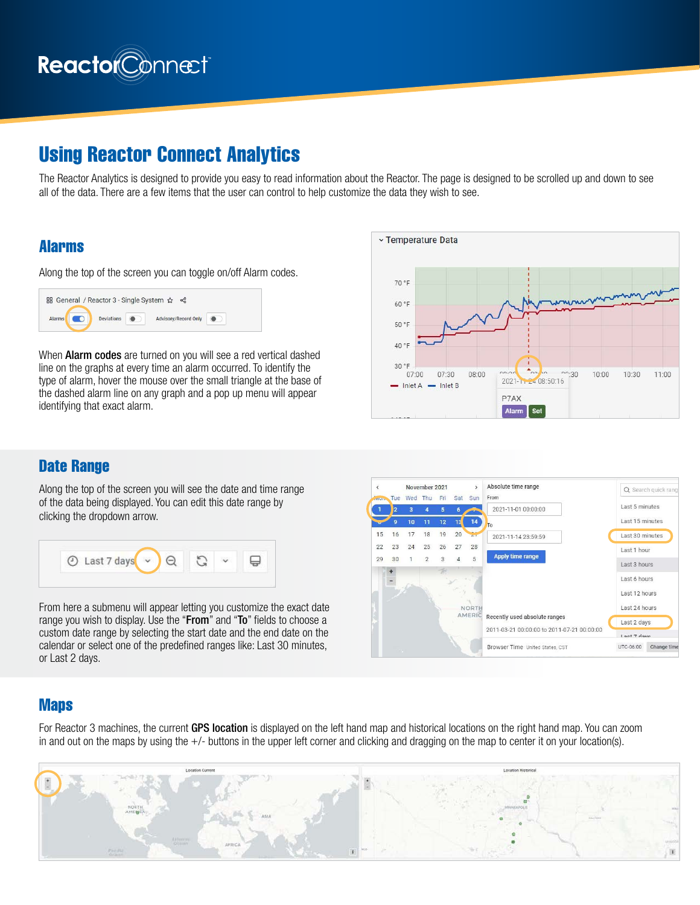

# Using Reactor Connect Analytics

The Reactor Analytics is designed to provide you easy to read information about the Reactor. The page is designed to be scrolled up and down to see all of the data. There are a few items that the user can control to help customize the data they wish to see.

#### Alarms

Along the top of the screen you can toggle on/off Alarm codes.

| 品 General / Reactor 3 - Single System ☆ < |                   |                             |  |
|-------------------------------------------|-------------------|-----------------------------|--|
| <b>Alarms</b>                             | <b>Deviations</b> | <b>Advisory/Record Only</b> |  |

When **Alarm codes** are turned on you will see a red vertical dashed line on the graphs at every time an alarm occurred. To identify the type of alarm, hover the mouse over the small triangle at the base of the dashed alarm line on any graph and a pop up menu will appear identifying that exact alarm.



### Date Range

Along the top of the screen you will see the date and time range of the data being displayed. You can edit this date range by clicking the dropdown arrow.



From here a submenu will appear letting you customize the exact date range you wish to display. Use the "From" and "To" fields to choose a custom date range by selecting the start date and the end date on the calendar or select one of the predefined ranges like: Last 30 minutes, or Last 2 days.



#### **Maps**

For Reactor 3 machines, the current GPS location is displayed on the left hand map and historical locations on the right hand map. You can zoom in and out on the maps by using the +/- buttons in the upper left corner and clicking and dragging on the map to center it on your location(s).

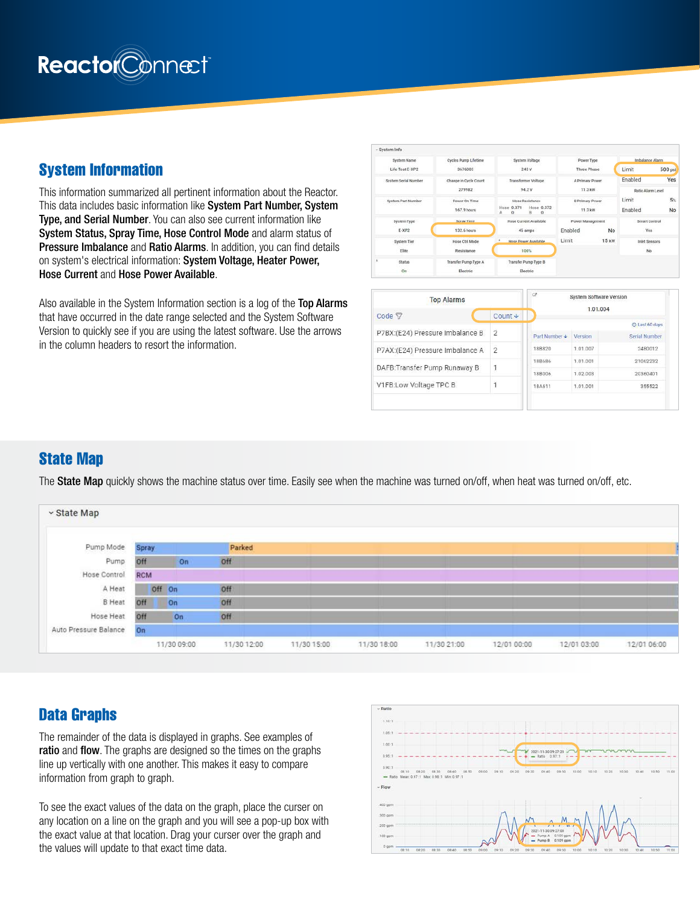

#### System Information

This information summarized all pertinent information about the Reactor. This data includes basic information like System Part Number, System Type, and Serial Number. You can also see current information like System Status, Spray Time, Hose Control Mode and alarm status of **Pressure Imbalance and Ratio Alarms.** In addition, you can find details on system's electrical information: System Voltage, Heater Power, Hose Current and Hose Power Available.

Also available in the System Information section is a log of the Top Alarms that have occurred in the date range selected and the System Software Version to quickly see if you are using the latest software. Use the arrows in the column headers to resort the information.



| <b>Top Alarms</b>               |                | ø<br>System Software Version<br>1.01.004 |          |                      |  |  |  |  |
|---------------------------------|----------------|------------------------------------------|----------|----------------------|--|--|--|--|
| Code <sub>了</sub>               | Count ↓        |                                          |          |                      |  |  |  |  |
|                                 |                |                                          |          | C Last 60 days       |  |  |  |  |
| P7BX:(E24) Pressure Imbalance B | $\overline{2}$ | Part Number +                            | Version  | <b>Serial Number</b> |  |  |  |  |
| P7AX:(E24) Pressure Imbalance A | $\overline{2}$ | 188820                                   | 1.01.007 | 2480012              |  |  |  |  |
| DAFB: Transfer Pump Runaway B   |                | <b>18B686</b>                            | 1.01.001 | 21062232             |  |  |  |  |
|                                 |                | <b>18B006</b>                            | 1.02.003 | 20360401             |  |  |  |  |
| V1FB:Low Voltage TPC B          |                | <b>18A611</b>                            | 1.01.001 | 355522               |  |  |  |  |

#### State Map

The State Map quickly shows the machine status over time. Easily see when the machine was turned on/off, when heat was turned on/off, etc.



### Data Graphs

The remainder of the data is displayed in graphs. See examples of ratio and flow. The graphs are designed so the times on the graphs line up vertically with one another. This makes it easy to compare information from graph to graph.

To see the exact values of the data on the graph, place the curser on any location on a line on the graph and you will see a pop-up box with the exact value at that location. Drag your curser over the graph and the values will update to that exact time data.